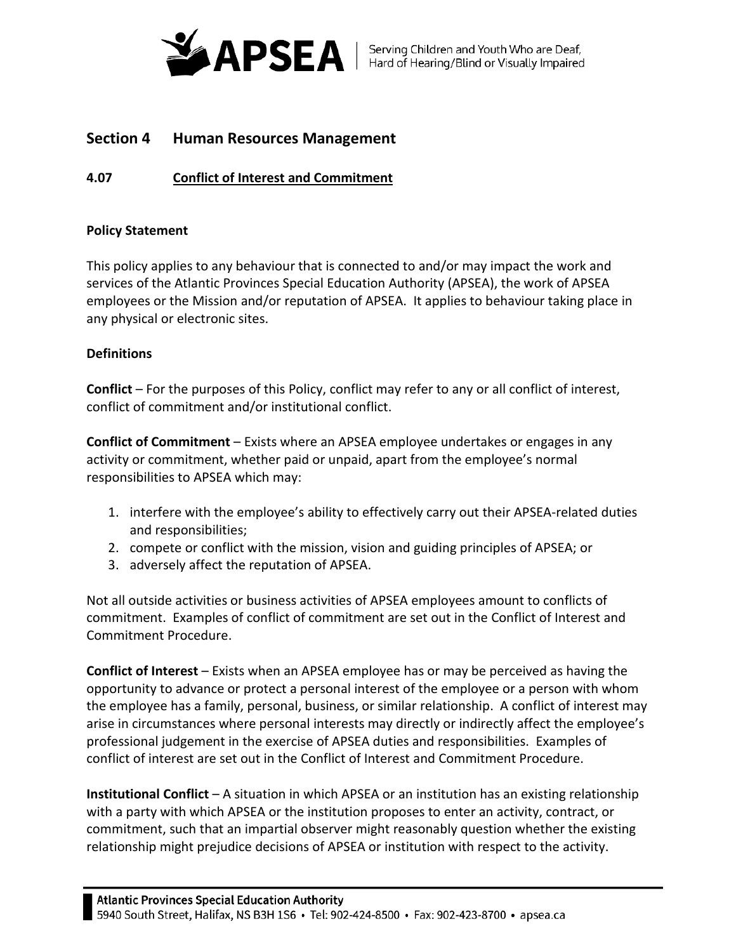

# **Section 4 Human Resources Management**

**4.07 Conflict of Interest and Commitment**

## **Policy Statement**

This policy applies to any behaviour that is connected to and/or may impact the work and services of the Atlantic Provinces Special Education Authority (APSEA), the work of APSEA employees or the Mission and/or reputation of APSEA. It applies to behaviour taking place in any physical or electronic sites.

## **Definitions**

**Conflict** – For the purposes of this Policy, conflict may refer to any or all conflict of interest, conflict of commitment and/or institutional conflict.

**Conflict of Commitment** – Exists where an APSEA employee undertakes or engages in any activity or commitment, whether paid or unpaid, apart from the employee's normal responsibilities to APSEA which may:

- 1. interfere with the employee's ability to effectively carry out their APSEA-related duties and responsibilities;
- 2. compete or conflict with the mission, vision and guiding principles of APSEA; or
- 3. adversely affect the reputation of APSEA.

Not all outside activities or business activities of APSEA employees amount to conflicts of commitment. Examples of conflict of commitment are set out in the Conflict of Interest and Commitment Procedure.

**Conflict of Interest** – Exists when an APSEA employee has or may be perceived as having the opportunity to advance or protect a personal interest of the employee or a person with whom the employee has a family, personal, business, or similar relationship. A conflict of interest may arise in circumstances where personal interests may directly or indirectly affect the employee's professional judgement in the exercise of APSEA duties and responsibilities. Examples of conflict of interest are set out in the Conflict of Interest and Commitment Procedure.

**Institutional Conflict** – A situation in which APSEA or an institution has an existing relationship with a party with which APSEA or the institution proposes to enter an activity, contract, or commitment, such that an impartial observer might reasonably question whether the existing relationship might prejudice decisions of APSEA or institution with respect to the activity.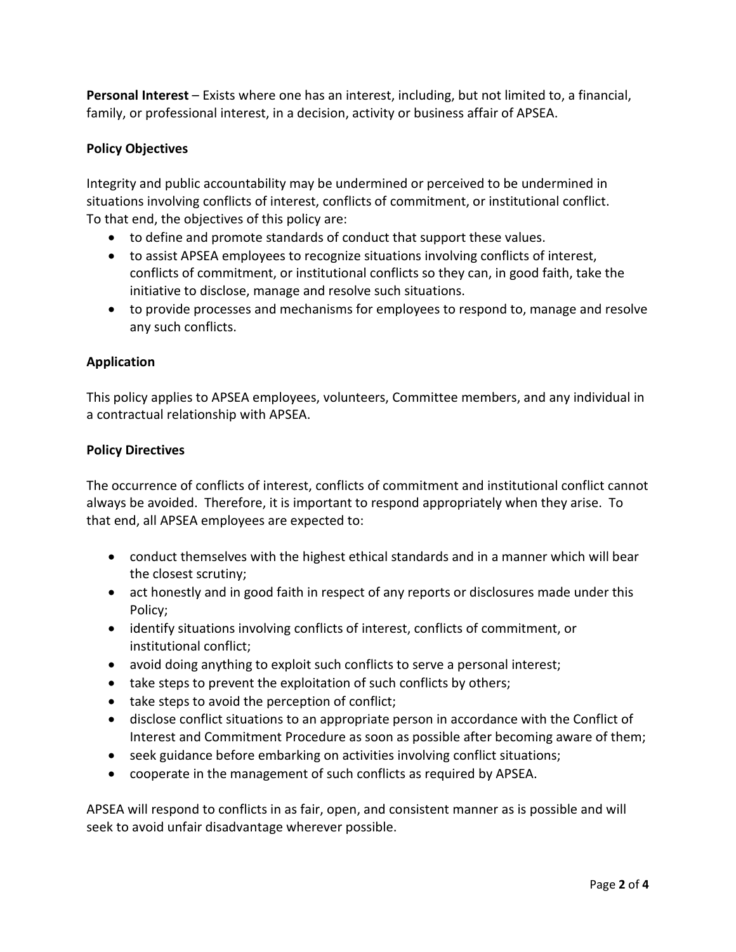**Personal Interest** – Exists where one has an interest, including, but not limited to, a financial, family, or professional interest, in a decision, activity or business affair of APSEA.

## **Policy Objectives**

Integrity and public accountability may be undermined or perceived to be undermined in situations involving conflicts of interest, conflicts of commitment, or institutional conflict. To that end, the objectives of this policy are:

- to define and promote standards of conduct that support these values.
- to assist APSEA employees to recognize situations involving conflicts of interest, conflicts of commitment, or institutional conflicts so they can, in good faith, take the initiative to disclose, manage and resolve such situations.
- to provide processes and mechanisms for employees to respond to, manage and resolve any such conflicts.

## **Application**

This policy applies to APSEA employees, volunteers, Committee members, and any individual in a contractual relationship with APSEA.

## **Policy Directives**

The occurrence of conflicts of interest, conflicts of commitment and institutional conflict cannot always be avoided. Therefore, it is important to respond appropriately when they arise. To that end, all APSEA employees are expected to:

- conduct themselves with the highest ethical standards and in a manner which will bear the closest scrutiny;
- act honestly and in good faith in respect of any reports or disclosures made under this Policy;
- identify situations involving conflicts of interest, conflicts of commitment, or institutional conflict;
- avoid doing anything to exploit such conflicts to serve a personal interest;
- take steps to prevent the exploitation of such conflicts by others;
- take steps to avoid the perception of conflict;
- disclose conflict situations to an appropriate person in accordance with the Conflict of Interest and Commitment Procedure as soon as possible after becoming aware of them;
- seek guidance before embarking on activities involving conflict situations;
- cooperate in the management of such conflicts as required by APSEA.

APSEA will respond to conflicts in as fair, open, and consistent manner as is possible and will seek to avoid unfair disadvantage wherever possible.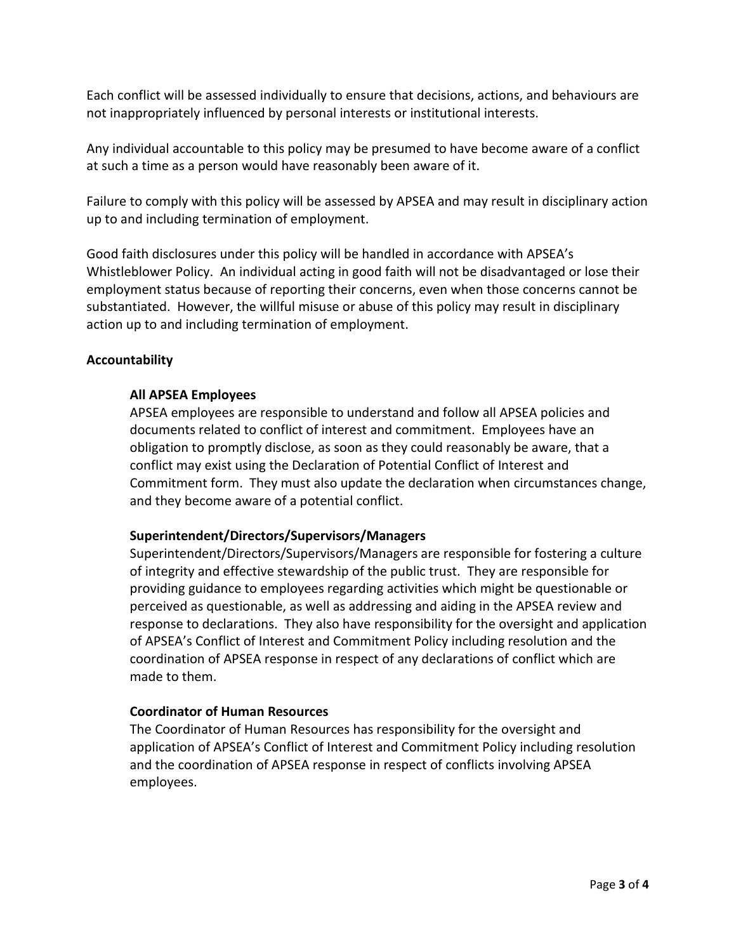Each conflict will be assessed individually to ensure that decisions, actions, and behaviours are not inappropriately influenced by personal interests or institutional interests.

Any individual accountable to this policy may be presumed to have become aware of a conflict at such a time as a person would have reasonably been aware of it.

Failure to comply with this policy will be assessed by APSEA and may result in disciplinary action up to and including termination of employment.

Good faith disclosures under this policy will be handled in accordance with APSEA's Whistleblower Policy. An individual acting in good faith will not be disadvantaged or lose their employment status because of reporting their concerns, even when those concerns cannot be substantiated. However, the willful misuse or abuse of this policy may result in disciplinary action up to and including termination of employment.

### **Accountability**

#### **All APSEA Employees**

APSEA employees are responsible to understand and follow all APSEA policies and documents related to conflict of interest and commitment. Employees have an obligation to promptly disclose, as soon as they could reasonably be aware, that a conflict may exist using the Declaration of Potential Conflict of Interest and Commitment form. They must also update the declaration when circumstances change, and they become aware of a potential conflict.

#### **Superintendent/Directors/Supervisors/Managers**

Superintendent/Directors/Supervisors/Managers are responsible for fostering a culture of integrity and effective stewardship of the public trust. They are responsible for providing guidance to employees regarding activities which might be questionable or perceived as questionable, as well as addressing and aiding in the APSEA review and response to declarations. They also have responsibility for the oversight and application of APSEA's Conflict of Interest and Commitment Policy including resolution and the coordination of APSEA response in respect of any declarations of conflict which are made to them.

#### **Coordinator of Human Resources**

The Coordinator of Human Resources has responsibility for the oversight and application of APSEA's Conflict of Interest and Commitment Policy including resolution and the coordination of APSEA response in respect of conflicts involving APSEA employees.